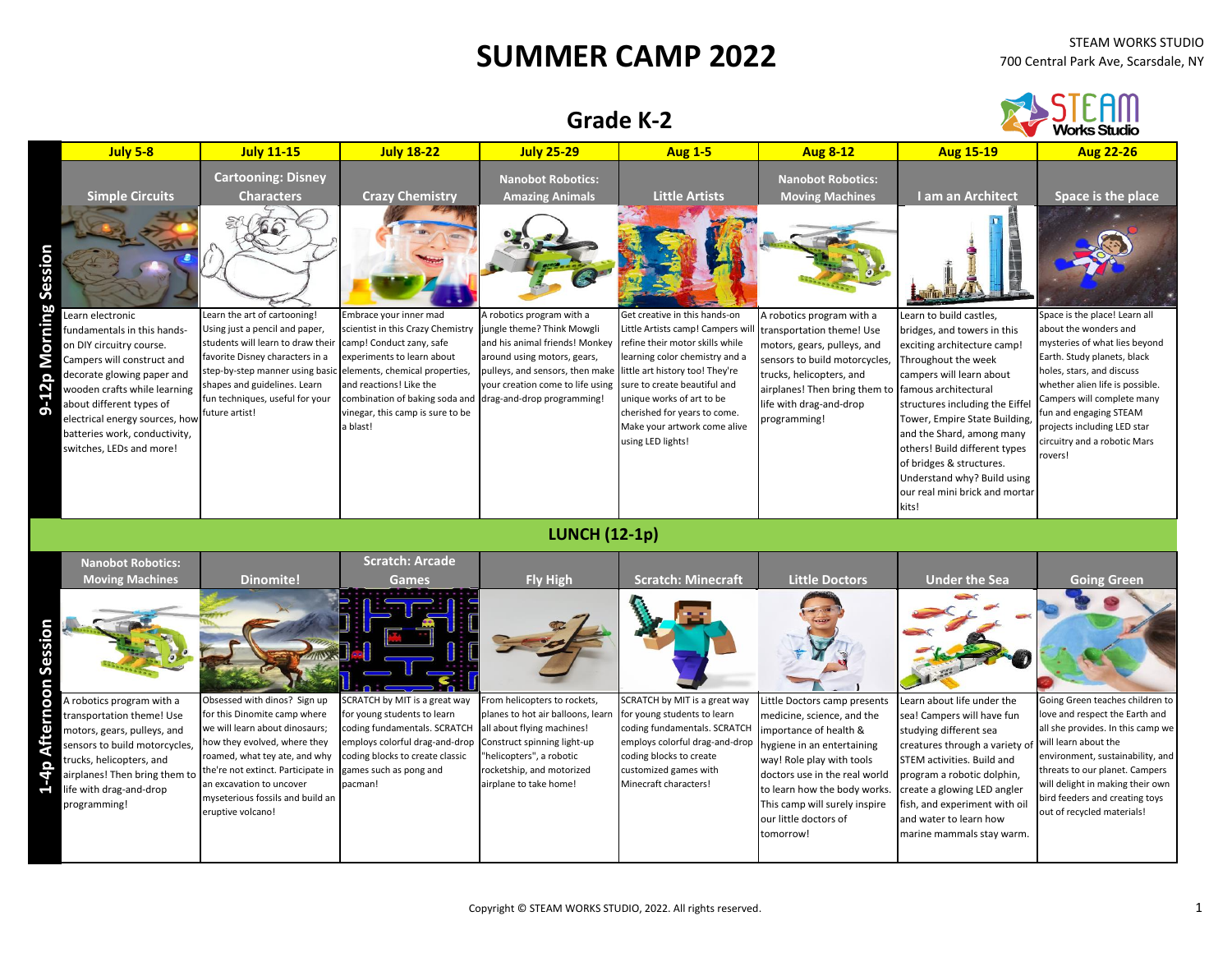## **SUMMER CAMP 2022** STEAM WORKS STUDIO

STEAM

## **Grade K-2**

|                                                                                                                                                                                                                                                                                                                                                    |                                                                                                                                                                                                                                                                                                                  |                                                                                                                                                                                                                                                                                                |                                                                                                                                                                                                                                                                                                                     |                                                                                                                                                                                                                                                                                                                   |                                                                                                                                                                                                                                                                                     |                                                                                                                                                                                                                                                                                                                                                                                                                               | www.scuur                                                                                                                                                                                                                                                                                                                                      |
|----------------------------------------------------------------------------------------------------------------------------------------------------------------------------------------------------------------------------------------------------------------------------------------------------------------------------------------------------|------------------------------------------------------------------------------------------------------------------------------------------------------------------------------------------------------------------------------------------------------------------------------------------------------------------|------------------------------------------------------------------------------------------------------------------------------------------------------------------------------------------------------------------------------------------------------------------------------------------------|---------------------------------------------------------------------------------------------------------------------------------------------------------------------------------------------------------------------------------------------------------------------------------------------------------------------|-------------------------------------------------------------------------------------------------------------------------------------------------------------------------------------------------------------------------------------------------------------------------------------------------------------------|-------------------------------------------------------------------------------------------------------------------------------------------------------------------------------------------------------------------------------------------------------------------------------------|-------------------------------------------------------------------------------------------------------------------------------------------------------------------------------------------------------------------------------------------------------------------------------------------------------------------------------------------------------------------------------------------------------------------------------|------------------------------------------------------------------------------------------------------------------------------------------------------------------------------------------------------------------------------------------------------------------------------------------------------------------------------------------------|
| <b>July 5-8</b>                                                                                                                                                                                                                                                                                                                                    | <b>July 11-15</b>                                                                                                                                                                                                                                                                                                | <b>July 18-22</b>                                                                                                                                                                                                                                                                              | <b>July 25-29</b>                                                                                                                                                                                                                                                                                                   | <b>Aug 1-5</b>                                                                                                                                                                                                                                                                                                    | <b>Aug 8-12</b>                                                                                                                                                                                                                                                                     | <b>Aug 15-19</b>                                                                                                                                                                                                                                                                                                                                                                                                              | <b>Aug 22-26</b>                                                                                                                                                                                                                                                                                                                               |
| <b>Simple Circuits</b><br>ະຂຶ<br>꼭<br>Learn electronic<br>fundamentals in this hands-<br>on DIY circuitry course.<br>ನ<br>Campers will construct and<br>decorate glowing paper and<br>wooden crafts while learning<br>about different types of<br>ה<br>electrical energy sources, how<br>batteries work, conductivity,<br>switches, LEDs and more! | <b>Cartooning: Disney</b><br><b>Characters</b><br>Learn the art of cartooning!<br>Using just a pencil and paper,<br>students will learn to draw their<br>favorite Disney characters in a<br>step-by-step manner using basic<br>shapes and guidelines. Learn<br>fun techniques, useful for your<br>future artist! | <b>Crazy Chemistry</b><br>Embrace your inner mad<br>scientist in this Crazy Chemistry<br>camp! Conduct zany, safe<br>experiments to learn about<br>elements, chemical properties,<br>and reactions! Like the<br>combination of baking soda and<br>vinegar, this camp is sure to be<br>a blast! | <b>Nanobot Robotics:</b><br><b>Amazing Animals</b><br>A robotics program with a<br>jungle theme? Think Mowgli<br>and his animal friends! Monkey<br>around using motors, gears,<br>pulleys, and sensors, then make little art history too! They're<br>your creation come to life using<br>drag-and-drop programming! | <b>Little Artists</b><br>Get creative in this hands-on<br>Little Artists camp! Campers wil<br>refine their motor skills while<br>learning color chemistry and a<br>sure to create beautiful and<br>unique works of art to be<br>cherished for years to come.<br>Make your artwork come alive<br>using LED lights! | <b>Nanobot Robotics:</b><br><b>Moving Machines</b><br>A robotics program with a<br>transportation theme! Use<br>motors, gears, pulleys, and<br>sensors to build motorcycles,<br>trucks, helicopters, and<br>airplanes! Then bring them to<br>ife with drag-and-drop<br>programming! | I am an Architect<br>Learn to build castles,<br>bridges, and towers in this<br>exciting architecture camp!<br>Throughout the week<br>campers will learn about<br>famous architectural<br>structures including the Eiffel<br>Tower, Empire State Building,<br>and the Shard, among many<br>others! Build different types<br>of bridges & structures.<br>Understand why? Build using<br>our real mini brick and mortar<br>kits! | Space is the place<br>Space is the place! Learn all<br>about the wonders and<br>mysteries of what lies beyond<br>Earth. Study planets, black<br>holes, stars, and discuss<br>whether alien life is possible.<br>Campers will complete many<br>fun and engaging STEAM<br>projects including LED star<br>circuitry and a robotic Mars<br>rovers! |
|                                                                                                                                                                                                                                                                                                                                                    |                                                                                                                                                                                                                                                                                                                  |                                                                                                                                                                                                                                                                                                | <b>LUNCH (12-1p)</b>                                                                                                                                                                                                                                                                                                |                                                                                                                                                                                                                                                                                                                   |                                                                                                                                                                                                                                                                                     |                                                                                                                                                                                                                                                                                                                                                                                                                               |                                                                                                                                                                                                                                                                                                                                                |
| <b>Nanobot Robotics:</b><br><b>Moving Machines</b>                                                                                                                                                                                                                                                                                                 | <b>Dinomite!</b>                                                                                                                                                                                                                                                                                                 | <b>Scratch: Arcade</b><br>Games                                                                                                                                                                                                                                                                | Fly High                                                                                                                                                                                                                                                                                                            | <b>Scratch: Minecraft</b>                                                                                                                                                                                                                                                                                         | <b>Little Doctors</b>                                                                                                                                                                                                                                                               | <b>Under the Sea</b>                                                                                                                                                                                                                                                                                                                                                                                                          | <b>Going Green</b>                                                                                                                                                                                                                                                                                                                             |
| Й.                                                                                                                                                                                                                                                                                                                                                 |                                                                                                                                                                                                                                                                                                                  |                                                                                                                                                                                                                                                                                                |                                                                                                                                                                                                                                                                                                                     |                                                                                                                                                                                                                                                                                                                   |                                                                                                                                                                                                                                                                                     |                                                                                                                                                                                                                                                                                                                                                                                                                               |                                                                                                                                                                                                                                                                                                                                                |
| A robotics program with a<br>transportation theme! Use<br>motors, gears, pulleys, and<br>sensors to build motorcycles,<br>trucks, helicopters, and<br>airplanes! Then bring them to<br>ife with drag-and-drop                                                                                                                                      | Obsessed with dinos? Sign up<br>for this Dinomite camp where<br>we will learn about dinosaurs;<br>how they evolved, where they<br>roamed, what tey ate, and why<br>the're not extinct. Participate in<br>an excavation to uncover                                                                                | SCRATCH by MIT is a great way<br>for young students to learn<br>coding fundamentals. SCRATCH<br>employs colorful drag-and-drop<br>coding blocks to create classic<br>games such as pong and<br>pacman!                                                                                         | From helicopters to rockets,<br>planes to hot air balloons, learn<br>all about flying machines!<br>Construct spinning light-up<br>"helicopters", a robotic<br>rocketship, and motorized<br>airplane to take home!                                                                                                   | SCRATCH by MIT is a great way<br>for young students to learn<br>coding fundamentals. SCRATCH<br>employs colorful drag-and-drop<br>coding blocks to create<br>customized games with<br>Minecraft characters!                                                                                                       | Little Doctors camp presents<br>medicine, science, and the<br>importance of health &<br>nygiene in an entertaining<br>way! Role play with tools<br>doctors use in the real world<br>to learn how the body works.                                                                    | Learn about life under the<br>sea! Campers will have fun<br>studying different sea<br>creatures through a variety of<br>STEM activities. Build and<br>program a robotic dolphin,<br>create a glowing LED angler                                                                                                                                                                                                               | Going Green teaches children to<br>love and respect the Earth and<br>all she provides. In this camp we<br>will learn about the<br>environment, sustainability, and<br>threats to our planet. Campers<br>will delight in making their own                                                                                                       |

| <b>Nanobot Robotics:</b><br><b>Moving Machines</b>                                                                                                                                                                                       | <b>Dinomite!</b>                                                                                                                                                                                                                                                                                                  | <b>Scratch: Arcade</b><br><b>Games</b>                                                                                                                                                                   | <b>Fly High</b>                                                                                                                                                                    | <b>Scratch: Minecraft</b>                                                                                                                                                                                                                                     | <b>Little Doctors</b>                                                                                                                                                                                                           | <b>Under the Sea</b>                                                                                                                                                                                                                                                                                    | <b>Going Green</b>                                                                                                                                                                                                                                                                                       |
|------------------------------------------------------------------------------------------------------------------------------------------------------------------------------------------------------------------------------------------|-------------------------------------------------------------------------------------------------------------------------------------------------------------------------------------------------------------------------------------------------------------------------------------------------------------------|----------------------------------------------------------------------------------------------------------------------------------------------------------------------------------------------------------|------------------------------------------------------------------------------------------------------------------------------------------------------------------------------------|---------------------------------------------------------------------------------------------------------------------------------------------------------------------------------------------------------------------------------------------------------------|---------------------------------------------------------------------------------------------------------------------------------------------------------------------------------------------------------------------------------|---------------------------------------------------------------------------------------------------------------------------------------------------------------------------------------------------------------------------------------------------------------------------------------------------------|----------------------------------------------------------------------------------------------------------------------------------------------------------------------------------------------------------------------------------------------------------------------------------------------------------|
| Session                                                                                                                                                                                                                                  |                                                                                                                                                                                                                                                                                                                   |                                                                                                                                                                                                          | $\sigma$                                                                                                                                                                           |                                                                                                                                                                                                                                                               |                                                                                                                                                                                                                                 |                                                                                                                                                                                                                                                                                                         |                                                                                                                                                                                                                                                                                                          |
| A robotics program with a<br>ō<br>transportation theme! Use<br>motors, gears, pulleys, and<br>sensors to build motorcycles,<br>trucks, helicopters, and<br>airplanes! Then bring them to<br>life with drag-and-drop<br>द<br>programming! | Obsessed with dinos? Sign up<br>for this Dinomite camp where<br>we will learn about dinosaurs;<br>now they evolved, where they<br>roamed, what tey ate, and why<br>the're not extinct. Participate in games such as pong and<br>an excavation to uncover<br>myseterious fossils and build an<br>eruptive volcano! | SCRATCH by MIT is a great way<br>for young students to learn<br>coding fundamentals. SCRATCH<br>employs colorful drag-and-drop Construct spinning light-up<br>coding blocks to create classic<br>pacman! | From helicopters to rockets,<br>planes to hot air balloons, learn<br>all about flying machines!<br>"helicopters", a robotic<br>rocketship, and motorized<br>airplane to take home! | SCRATCH by MIT is a great way<br>for young students to learn<br>coding fundamentals. SCRATCH importance of health &<br>employs colorful drag-and-drop hygiene in an entertaining<br>coding blocks to create<br>customized games with<br>Minecraft characters! | Little Doctors camp presents<br>medicine, science, and the<br>way! Role play with tools<br>doctors use in the real world<br>to learn how the body works.<br>This camp will surely inspire<br>our little doctors of<br>tomorrow! | Learn about life under the<br>sea! Campers will have fun<br>studying different sea<br>creatures through a variety of<br>STEM activities. Build and<br>program a robotic dolphin,<br>create a glowing LED angler<br>fish, and experiment with oil<br>and water to learn how<br>marine mammals stay warm. | Going Green teaches children to<br>love and respect the Earth and<br>all she provides. In this camp we<br>will learn about the<br>environment, sustainability, and<br>threats to our planet. Campers<br>will delight in making their own<br>bird feeders and creating toys<br>out of recycled materials! |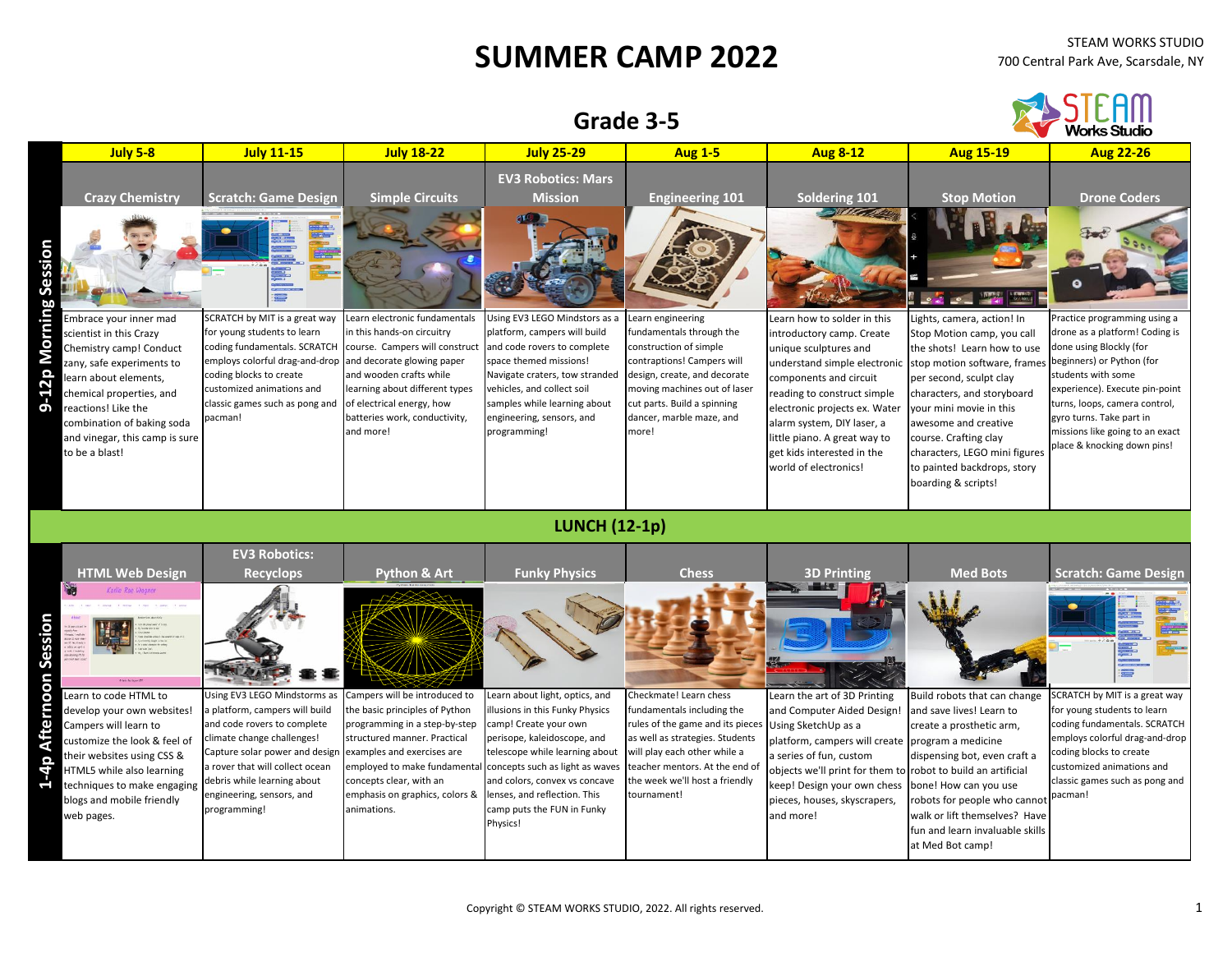## **SUMMER CAMP 2022** STEAM WORKS STUDIO

|                                        |                                                                                                                                                                                                                                                   | Grade 3-5                                                                                                                                                                                                                                                                    |                                                                                                                                                                                                                                                                                                            |                                                                                                                                                                                                                                                                        |                                                                                                                                                                                                                                                |                                                                                                                                                                                                                                                                                                   |                                                                                                                                                                                                                                                                                                                       | FAM'                                                                                                                                                                                                                                                                          |
|----------------------------------------|---------------------------------------------------------------------------------------------------------------------------------------------------------------------------------------------------------------------------------------------------|------------------------------------------------------------------------------------------------------------------------------------------------------------------------------------------------------------------------------------------------------------------------------|------------------------------------------------------------------------------------------------------------------------------------------------------------------------------------------------------------------------------------------------------------------------------------------------------------|------------------------------------------------------------------------------------------------------------------------------------------------------------------------------------------------------------------------------------------------------------------------|------------------------------------------------------------------------------------------------------------------------------------------------------------------------------------------------------------------------------------------------|---------------------------------------------------------------------------------------------------------------------------------------------------------------------------------------------------------------------------------------------------------------------------------------------------|-----------------------------------------------------------------------------------------------------------------------------------------------------------------------------------------------------------------------------------------------------------------------------------------------------------------------|-------------------------------------------------------------------------------------------------------------------------------------------------------------------------------------------------------------------------------------------------------------------------------|
|                                        | <b>July 5-8</b>                                                                                                                                                                                                                                   | <b>July 11-15</b>                                                                                                                                                                                                                                                            | <b>July 18-22</b>                                                                                                                                                                                                                                                                                          | <b>July 25-29</b>                                                                                                                                                                                                                                                      | <b>Aug 1-5</b>                                                                                                                                                                                                                                 | <b>Aug 8-12</b>                                                                                                                                                                                                                                                                                   | <b>Aug 15-19</b>                                                                                                                                                                                                                                                                                                      | <b>Aug 22-26</b>                                                                                                                                                                                                                                                              |
|                                        | <b>Crazy Chemistry</b>                                                                                                                                                                                                                            | <b>Scratch: Game Design</b>                                                                                                                                                                                                                                                  | <b>Simple Circuits</b>                                                                                                                                                                                                                                                                                     | <b>EV3 Robotics: Mars</b><br><b>Mission</b>                                                                                                                                                                                                                            | <b>Engineering 101</b>                                                                                                                                                                                                                         | Soldering 101                                                                                                                                                                                                                                                                                     | <b>Stop Motion</b>                                                                                                                                                                                                                                                                                                    | <b>Drone Coders</b>                                                                                                                                                                                                                                                           |
| 9-12p Morning Sessior                  | Embrace your inner mad                                                                                                                                                                                                                            | SCRATCH by MIT is a great way                                                                                                                                                                                                                                                | Learn electronic fundamentals                                                                                                                                                                                                                                                                              | Using EV3 LEGO Mindstors as a                                                                                                                                                                                                                                          | Learn engineering                                                                                                                                                                                                                              | Den for<br>Learn how to solder in this                                                                                                                                                                                                                                                            | Lights, camera, action! In                                                                                                                                                                                                                                                                                            | Practice programming using a                                                                                                                                                                                                                                                  |
|                                        | cientist in this Crazy<br>Chemistry camp! Conduct<br>zany, safe experiments to<br>learn about elements,<br>chemical properties, and<br>reactions! Like the<br>combination of baking soda<br>and vinegar, this camp is sure<br>to be a blast!      | for young students to learn<br>coding fundamentals. SCRATCH<br>employs colorful drag-and-drop<br>coding blocks to create<br>customized animations and<br>classic games such as pong and<br>pacman!                                                                           | in this hands-on circuitry<br>course. Campers will construct<br>and decorate glowing paper<br>and wooden crafts while<br>learning about different types<br>of electrical energy, how<br>batteries work, conductivity,<br>and more!                                                                         | platform, campers will build<br>and code rovers to complete<br>space themed missions!<br>Navigate craters, tow stranded<br>vehicles, and collect soil<br>samples while learning about<br>engineering, sensors, and<br>programming!                                     | fundamentals through the<br>construction of simple<br>contraptions! Campers will<br>design, create, and decorate<br>moving machines out of laser<br>cut parts. Build a spinning<br>dancer, marble maze, and<br>more!                           | introductory camp. Create<br>unique sculptures and<br>understand simple electronic<br>components and circuit<br>reading to construct simple<br>electronic projects ex. Water<br>alarm system, DIY laser, a<br>little piano. A great way to<br>get kids interested in the<br>world of electronics! | Stop Motion camp, you call<br>the shots! Learn how to use<br>stop motion software, frames<br>per second, sculpt clay<br>characters, and storyboard<br>your mini movie in this<br>awesome and creative<br>course. Crafting clay<br>characters, LEGO mini figures<br>to painted backdrops, story<br>boarding & scripts! | drone as a platform! Coding is<br>done using Blockly (for<br>beginners) or Python (for<br>students with some<br>experience). Execute pin-point<br>turns, loops, camera control,<br>gyro turns. Take part in<br>missions like going to an exact<br>place & knocking down pins! |
|                                        |                                                                                                                                                                                                                                                   |                                                                                                                                                                                                                                                                              |                                                                                                                                                                                                                                                                                                            | <b>LUNCH (12-1p)</b>                                                                                                                                                                                                                                                   |                                                                                                                                                                                                                                                |                                                                                                                                                                                                                                                                                                   |                                                                                                                                                                                                                                                                                                                       |                                                                                                                                                                                                                                                                               |
| Sessior                                | <b>HTML Web Design</b><br>Karlie Rae Wagne                                                                                                                                                                                                        | <b>EV3 Robotics:</b><br><b>Recyclops</b>                                                                                                                                                                                                                                     | <b>Python &amp; Art</b>                                                                                                                                                                                                                                                                                    | <b>Funky Physics</b>                                                                                                                                                                                                                                                   | <b>Chess</b>                                                                                                                                                                                                                                   | <b>3D Printing</b>                                                                                                                                                                                                                                                                                | <b>Med Bots</b>                                                                                                                                                                                                                                                                                                       | <b>Scratch: Game Design</b>                                                                                                                                                                                                                                                   |
| <b>Arternoon</b><br>$\frac{1}{4}$<br>1 | Learn to code HTML to<br>develop your own websites!<br>Campers will learn to<br>customize the look & feel of<br>their websites using CSS &<br>HTML5 while also learning<br>techniques to make engaging<br>blogs and mobile friendly<br>web pages. | Using EV3 LEGO Mindstorms as<br>a platform, campers will build<br>and code rovers to complete<br>climate change challenges!<br>Capture solar power and design<br>a rover that will collect ocean<br>debris while learning about<br>engineering, sensors, and<br>programming! | Campers will be introduced to<br>the basic principles of Python<br>programming in a step-by-step<br>structured manner. Practical<br>examples and exercises are<br>employed to make fundamental concepts such as light as waves<br>concepts clear, with an<br>emphasis on graphics, colors &<br>animations. | Learn about light, optics, and<br>Illusions in this Funky Physics<br>camp! Create your own<br>perisope, kaleidoscope, and<br>telescope while learning about<br>and colors, convex vs concave<br>lenses, and reflection. This<br>camp puts the FUN in Funky<br>Physics! | Checkmate! Learn chess<br>fundamentals including the<br>rules of the game and its pieces<br>as well as strategies. Students<br>will play each other while a<br>teacher mentors. At the end of<br>the week we'll host a friendly<br>tournament! | Learn the art of 3D Printing<br>and Computer Aided Design!<br>Using SketchUp as a<br>platform, campers will create<br>a series of fun, custom<br>objects we'll print for them to robot to build an artificial<br>keep! Design your own chess<br>pieces, houses, skyscrapers,<br>and more!         | Build robots that can change<br>and save lives! Learn to<br>create a prosthetic arm,<br>program a medicine<br>dispensing bot, even craft a<br>bone! How can you use<br>obots for people who cannot<br>walk or lift themselves? Have<br>fun and learn invaluable skills<br>at Med Bot camp!                            | SCRATCH by MIT is a great way<br>for young students to learn<br>coding fundamentals. SCRATCH<br>employs colorful drag-and-drop<br>coding blocks to create<br>customized animations and<br>classic games such as pong and<br>pacman!                                           |